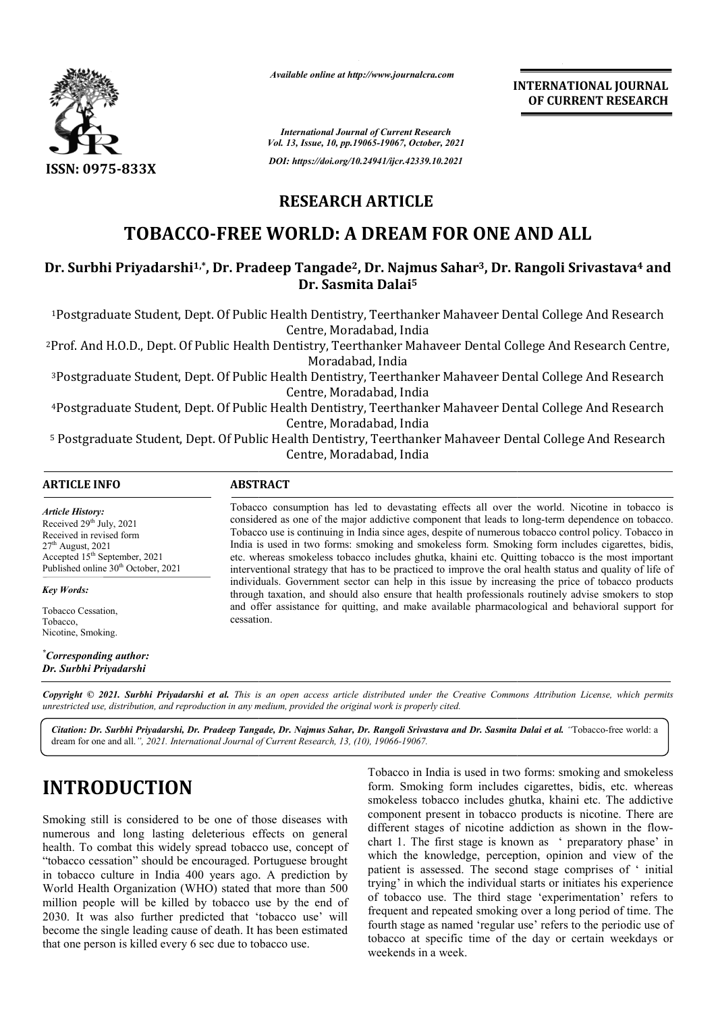

*Available online at http://www.journalcra.com*

## **RESEARCH ARTICLE**

## **TOBACCO-FREE WORLD: A DREAM FOR ONE AND ALL**

# TOBACCO-FREE WORLD: A DREAM FOR ONE AND ALL<br>Dr. Surbhi Priyadarshi<sup>1,\*</sup>, Dr. Pradeep Tangade<sup>2</sup>, Dr. Najmus Sahar<sup>3</sup>, Dr. Rangoli Srivastava<sup>4</sup> and **Dr. Sasmita Dalai5**

| <b>INTERNATIONAL JOURNAL</b><br>OF CURRENT RESEARCH                                                                                                                                                                                                                                                                                                                                                                                                                                                                                                                                                                                                                                                                                                                                              |  |  |
|--------------------------------------------------------------------------------------------------------------------------------------------------------------------------------------------------------------------------------------------------------------------------------------------------------------------------------------------------------------------------------------------------------------------------------------------------------------------------------------------------------------------------------------------------------------------------------------------------------------------------------------------------------------------------------------------------------------------------------------------------------------------------------------------------|--|--|
|                                                                                                                                                                                                                                                                                                                                                                                                                                                                                                                                                                                                                                                                                                                                                                                                  |  |  |
|                                                                                                                                                                                                                                                                                                                                                                                                                                                                                                                                                                                                                                                                                                                                                                                                  |  |  |
|                                                                                                                                                                                                                                                                                                                                                                                                                                                                                                                                                                                                                                                                                                                                                                                                  |  |  |
|                                                                                                                                                                                                                                                                                                                                                                                                                                                                                                                                                                                                                                                                                                                                                                                                  |  |  |
| Dr. Surbhi Priyadarshi <sup>1,*</sup> , Dr. Pradeep Tangade <sup>2</sup> , Dr. Najmus Sahar <sup>3</sup> , Dr. Rangoli Srivastava <sup>4</sup> and                                                                                                                                                                                                                                                                                                                                                                                                                                                                                                                                                                                                                                               |  |  |
| <sup>1</sup> Postgraduate Student, Dept. Of Public Health Dentistry, Teerthanker Mahaveer Dental College And Research                                                                                                                                                                                                                                                                                                                                                                                                                                                                                                                                                                                                                                                                            |  |  |
| <sup>2</sup> Prof. And H.O.D., Dept. Of Public Health Dentistry, Teerthanker Mahaveer Dental College And Research Centre,                                                                                                                                                                                                                                                                                                                                                                                                                                                                                                                                                                                                                                                                        |  |  |
| <sup>3</sup> Postgraduate Student, Dept. Of Public Health Dentistry, Teerthanker Mahaveer Dental College And Research                                                                                                                                                                                                                                                                                                                                                                                                                                                                                                                                                                                                                                                                            |  |  |
| 4Postgraduate Student, Dept. Of Public Health Dentistry, Teerthanker Mahaveer Dental College And Research                                                                                                                                                                                                                                                                                                                                                                                                                                                                                                                                                                                                                                                                                        |  |  |
| <sup>5</sup> Postgraduate Student, Dept. Of Public Health Dentistry, Teerthanker Mahaveer Dental College And Research                                                                                                                                                                                                                                                                                                                                                                                                                                                                                                                                                                                                                                                                            |  |  |
|                                                                                                                                                                                                                                                                                                                                                                                                                                                                                                                                                                                                                                                                                                                                                                                                  |  |  |
| Tobacco consumption has led to devastating effects all over the world. Nicotine in tobacco is<br>considered as one of the major addictive component that leads to long-term dependence on tobacco.<br>Tobacco use is continuing in India since ages, despite of numerous tobacco control policy. Tobacco in<br>India is used in two forms: smoking and smokeless form. Smoking form includes cigarettes, bidis,<br>etc. whereas smokeless tobacco includes ghutka, khaini etc. Quitting tobacco is the most important<br>interventional strategy that has to be practiced to improve the oral health status and quality of life of                                                                                                                                                               |  |  |
| individuals. Government sector can help in this issue by increasing the price of tobacco products<br>through taxation, and should also ensure that health professionals routinely advise smokers to stop<br>and offer assistance for quitting, and make available pharmacological and behavioral support for<br>cessation.                                                                                                                                                                                                                                                                                                                                                                                                                                                                       |  |  |
|                                                                                                                                                                                                                                                                                                                                                                                                                                                                                                                                                                                                                                                                                                                                                                                                  |  |  |
| Copyright © 2021. Surbhi Priyadarshi et al. This is an open access article distributed under the Creative Commons Attribution License, which permits                                                                                                                                                                                                                                                                                                                                                                                                                                                                                                                                                                                                                                             |  |  |
| Citation: Dr. Surbhi Priyadarshi, Dr. Pradeep Tangade, Dr. Najmus Sahar, Dr. Rangoli Srivastava and Dr. Sasmita Dalai et al. "Tobacco-free world: a                                                                                                                                                                                                                                                                                                                                                                                                                                                                                                                                                                                                                                              |  |  |
| Tobacco in India is used in two forms: smoking and smokeless<br>form. Smoking form includes cigarettes, bidis, etc. whereas<br>smokeless tobacco includes ghutka, khaini etc. The addictive<br>component present in tobacco products is nicotine. There are<br>different stages of nicotine addiction as shown in the flow-<br>chart 1. The first stage is known as 'preparatory phase' in<br>which the knowledge, perception, opinion and view of the<br>patient is assessed. The second stage comprises of 'initial<br>trying' in which the individual starts or initiates his experience<br>of tobacco use. The third stage 'experimentation' refers to<br>frequent and repeated smoking over a long period of time. The<br>fourth stage as named 'regular use' refers to the periodic use of |  |  |
| tobacco at specific time of the day or certain weekdays or                                                                                                                                                                                                                                                                                                                                                                                                                                                                                                                                                                                                                                                                                                                                       |  |  |

# **INTRODUCTION**

**ICTION**<br> **ICTION**<br> **ICTION**<br> **ICTION**<br> **ICTION**<br> **ICTION**<br> **ICTION**<br> **ICTION**<br> **ICCN**<br> **ICCN**<br> **ICCN**<br> **ICCN**<br> **ICCN**<br> **ICCN**<br> **ICCN**<br> **ICCN**<br> **ICCN**<br> **ICCN**<br> **ICCN**<br> **ICCN**<br> **ICCN**<br> **ICCN**<br> **ICCN**<br> **ICCN**<br> **ICCN**<br> **ICCN** form. Smoking form includes cigarettes, bidis, etc. whereas smokeless tobacco includes ghutka, khaini etc. The addictive component present in tobacco products is nicotine. There are different stages of nicotine addiction as shown in the flowchart 1. The first stage is known as ' preparatory phase' in chart 1. The first stage is known as ' preparatory phase' in which the knowledge, perception, opinion and view of the patient is assessed. The second stage comprises of ' initial trying' in which the individual starts or initiates his experience of tobacco use. The third stage 'experimentation' refers to frequent and repeated smoking over a long period of time. The fourth stage as named 'regular use' refers to the periodic use of tobacco at specific time of the day or certain weekdays or weekends in a week. is used in two forms: smoking and smokeless<br>form includes cigarettes, bidis, etc. whereas<br>co includes ghutka, khaini etc. The addictive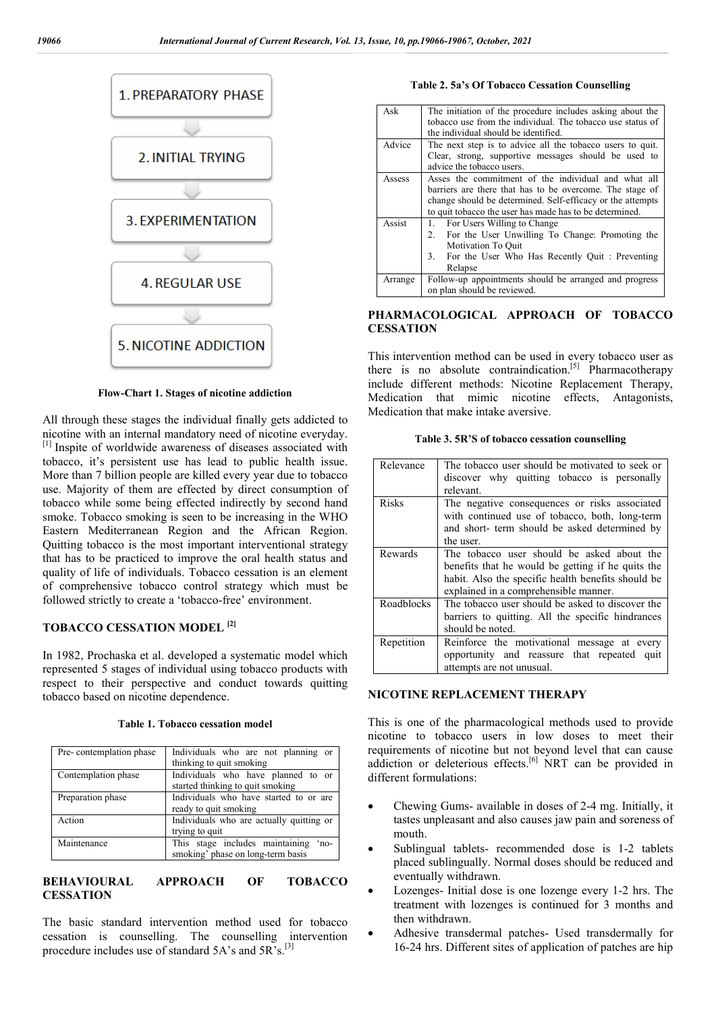

**Flow-Chart 1. Stages of nicotine addiction**

All through these stages the individual finally gets addicted to nicotine with an internal mandatory need of nicotine everyday. [1] Inspite of worldwide awareness of diseases associated with tobacco, it's persistent use has lead to public health issue. More than 7 billion people are killed every year due to tobacco use. Majority of them are effected by direct consumption of tobacco while some being effected indirectly by second hand smoke. Tobacco smoking is seen to be increasing in the WHO Eastern Mediterranean Region and the African Region. Quitting tobacco is the most important interventional strategy that has to be practiced to improve the oral health status and quality of life of individuals. Tobacco cessation is an element of comprehensive tobacco control strategy which must be followed strictly to create a 'tobacco-free' environment.

#### **TOBACCO CESSATION MODEL [2]**

In 1982, Prochaska et al. developed a systematic model which represented 5 stages of individual using tobacco products with respect to their perspective and conduct towards quitting tobacco based on nicotine dependence.

| Pre-contemplation phase | Individuals who are not planning or      |
|-------------------------|------------------------------------------|
|                         | thinking to quit smoking                 |
| Contemplation phase     | Individuals who have planned to or       |
|                         | started thinking to quit smoking         |
| Preparation phase       | Individuals who have started to or are   |
|                         | ready to quit smoking                    |
| Action                  | Individuals who are actually quitting or |
|                         | trying to quit                           |
| Maintenance             | This stage includes maintaining<br>no-   |
|                         | smoking' phase on long-term basis        |

#### **Table 1. Tobacco cessation model**

#### **BEHAVIOURAL APPROACH OF TOBACCO CESSATION**

The basic standard intervention method used for tobacco cessation is counselling. The counselling intervention procedure includes use of standard 5A's and 5R's.[3]

**Table 2. 5a's Of Tobacco Cessation Counselling**

| Ask     | The initiation of the procedure includes asking about the<br>tobacco use from the individual. The tobacco use status of<br>the individual should be identified.                                                                           |
|---------|-------------------------------------------------------------------------------------------------------------------------------------------------------------------------------------------------------------------------------------------|
| Advice  | The next step is to advice all the tobacco users to quit.<br>Clear, strong, supportive messages should be used to<br>advice the tobacco users.                                                                                            |
| Assess  | Asses the commitment of the individual and what all<br>barriers are there that has to be overcome. The stage of<br>change should be determined. Self-efficacy or the attempts<br>to quit to bacco the user has made has to be determined. |
| Assist  | 1. For Users Willing to Change<br>2. For the User Unwilling To Change: Promoting the<br>Motivation To Ouit<br>3. For the User Who Has Recently Ouit: Preventing<br>Relapse                                                                |
| Arrange | Follow-up appointments should be arranged and progress<br>on plan should be reviewed.                                                                                                                                                     |

#### **PHARMACOLOGICAL APPROACH OF TOBACCO CESSATION**

This intervention method can be used in every tobacco user as there is no absolute contraindication.<sup>[5]</sup> Pharmacotherapy include different methods: Nicotine Replacement Therapy, Medication that mimic nicotine effects, Antagonists, Medication that make intake aversive.

| Table 3. 5R'S of tobacco cessation counselling |  |  |
|------------------------------------------------|--|--|
|------------------------------------------------|--|--|

| Relevance    | The tobacco user should be motivated to seek or<br>discover why quitting tobacco is personally<br>relevant. |
|--------------|-------------------------------------------------------------------------------------------------------------|
|              |                                                                                                             |
| <b>Risks</b> | The negative consequences or risks associated                                                               |
|              | with continued use of tobacco, both, long-term                                                              |
|              | and short- term should be asked determined by                                                               |
|              | the user.                                                                                                   |
| Rewards      | The tobacco user should be asked about the                                                                  |
|              | benefits that he would be getting if he quits the                                                           |
|              | habit. Also the specific health benefits should be                                                          |
|              | explained in a comprehensible manner.                                                                       |
| Roadblocks   | The tobacco user should be asked to discover the                                                            |
|              | barriers to quitting. All the specific hindrances                                                           |
|              | should be noted.                                                                                            |
| Repetition   | Reinforce the motivational message at every                                                                 |
|              | opportunity and reassure that repeated quit                                                                 |
|              | attempts are not unusual.                                                                                   |

#### **NICOTINE REPLACEMENT THERAPY**

This is one of the pharmacological methods used to provide nicotine to tobacco users in low doses to meet their requirements of nicotine but not beyond level that can cause addiction or deleterious effects.<sup>[6]</sup> NRT can be provided in different formulations:

- Chewing Gums- available in doses of 2-4 mg. Initially, it tastes unpleasant and also causes jaw pain and soreness of mouth.
- Sublingual tablets- recommended dose is 1-2 tablets placed sublingually. Normal doses should be reduced and eventually withdrawn.
- Lozenges- Initial dose is one lozenge every 1-2 hrs. The treatment with lozenges is continued for 3 months and then withdrawn.
- Adhesive transdermal patches- Used transdermally for 16-24 hrs. Different sites of application of patches are hip